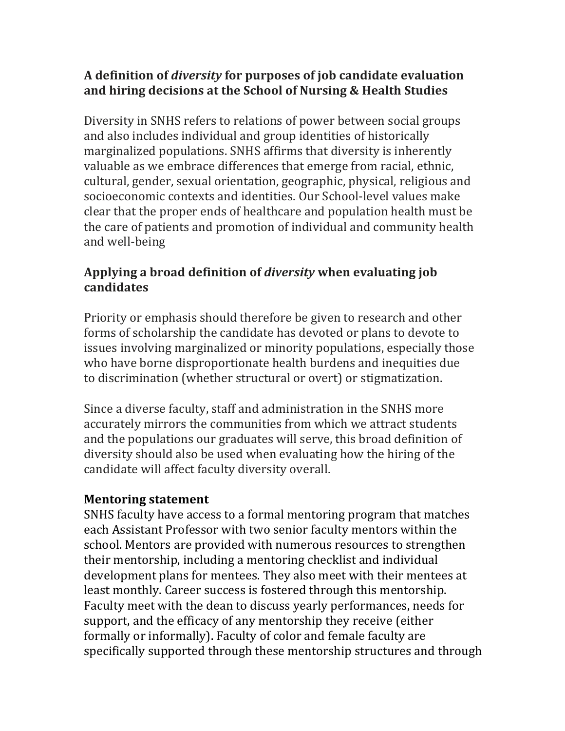## **A definition of** *diversity* **for purposes of job candidate evaluation and hiring decisions at the School of Nursing & Health Studies**

Diversity in SNHS refers to relations of power between social groups and also includes individual and group identities of historically marginalized populations. SNHS affirms that diversity is inherently valuable as we embrace differences that emerge from racial, ethnic, cultural, gender, sexual orientation, geographic, physical, religious and clear that the proper ends of healthcare and population health must be socioeconomic contexts and identities. Our School-level values make the care of patients and promotion of individual and community health and well-being

## Applying a broad definition of *diversity* when evaluating job **candidates**

Priority or emphasis should therefore be given to research and other who have borne disproportionate health burdens and inequities due forms of scholarship the candidate has devoted or plans to devote to issues involving marginalized or minority populations, especially those to discrimination (whether structural or overt) or stigmatization.

Since a diverse faculty, staff and administration in the SNHS more accurately mirrors the communities from which we attract students and the populations our graduates will serve, this broad definition of diversity should also be used when evaluating how the hiring of the candidate will affect faculty diversity overall.

## **Mentoring statement**

 SNHS faculty have access to a formal mentoring program that matches each Assistant Professor with two senior faculty mentors within the school. Mentors are provided with numerous resources to strengthen their mentorship, including a mentoring checklist and individual development plans for mentees. They also meet with their mentees at least monthly. Career success is fostered through this mentorship. Faculty meet with the dean to discuss yearly performances, needs for support, and the efficacy of any mentorship they receive (either formally or informally). Faculty of color and female faculty are specifically supported through these mentorship structures and through